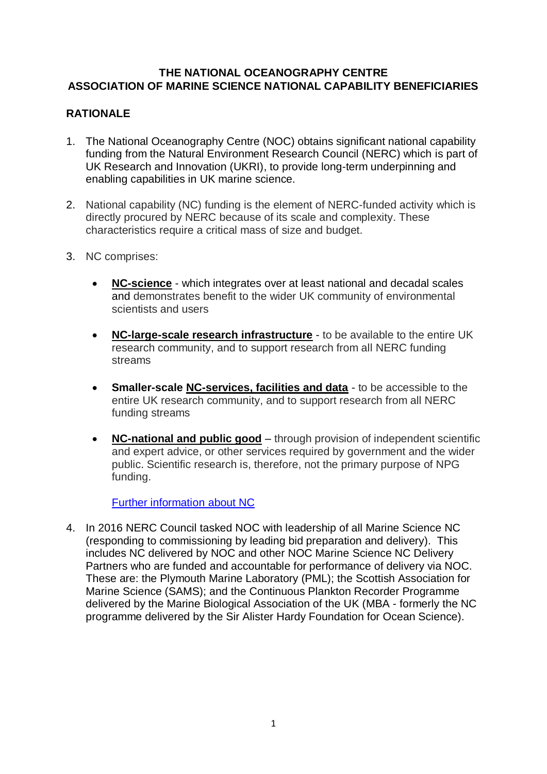### **THE NATIONAL OCEANOGRAPHY CENTRE ASSOCIATION OF MARINE SCIENCE NATIONAL CAPABILITY BENEFICIARIES**

# **RATIONALE**

- 1. The National Oceanography Centre (NOC) obtains significant national capability funding from the Natural Environment Research Council (NERC) which is part of UK Research and Innovation (UKRI), to provide long-term underpinning and enabling capabilities in UK marine science.
- 2. National capability (NC) funding is the element of NERC-funded activity which is directly procured by NERC because of its scale and complexity. These characteristics require a critical mass of size and budget.
- 3. NC comprises:
	- **[NC-science](https://nerc.ukri.org/funding/available/nc-funding/#ncscience)** which integrates over at least national and decadal scales and demonstrates benefit to the wider UK community of environmental scientists and users
	- **[NC-large-scale research infrastructure](https://nerc.ukri.org/funding/available/nc-funding/#nclarge)** to be available to the entire UK research community, and to support research from all NERC funding streams
	- **Smaller-scale [NC-services, facilities and data](https://nerc.ukri.org/funding/available/nc-funding/#ncsmall)** to be accessible to the entire UK research community, and to support research from all NERC funding streams
	- **[NC-national and public good](https://nerc.ukri.org/funding/available/nc-funding/#ncnat)** through provision of independent scientific and expert advice, or other services required by government and the wider public. Scientific research is, therefore, not the primary purpose of NPG funding.

[Further information about NC](https://nerc.ukri.org/funding/available/nc-funding/)

4. In 2016 NERC Council tasked NOC with leadership of all Marine Science NC (responding to commissioning by leading bid preparation and delivery). This includes NC delivered by NOC and other NOC Marine Science NC Delivery Partners who are funded and accountable for performance of delivery via NOC. These are: the Plymouth Marine Laboratory (PML); the Scottish Association for Marine Science (SAMS); and the Continuous Plankton Recorder Programme delivered by the Marine Biological Association of the UK (MBA - formerly the NC programme delivered by the Sir Alister Hardy Foundation for Ocean Science).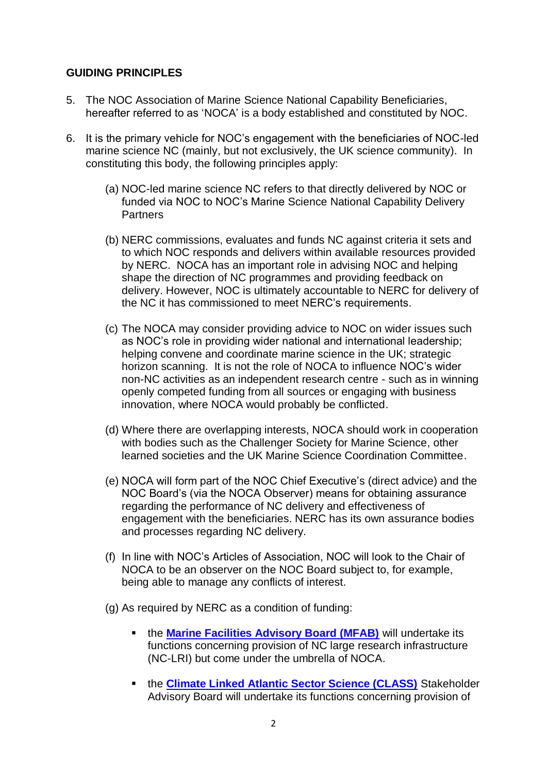## **GUIDING PRINCIPLES**

- 5. The NOC Association of Marine Science National Capability Beneficiaries, hereafter referred to as 'NOCA' is a body established and constituted by NOC.
- 6. It is the primary vehicle for NOC's engagement with the beneficiaries of NOC-led marine science NC (mainly, but not exclusively, the UK science community). In constituting this body, the following principles apply:
	- (a) NOC-led marine science NC refers to that directly delivered by NOC or funded via NOC to NOC's Marine Science National Capability Delivery Partners
	- (b) NERC commissions, evaluates and funds NC against criteria it sets and to which NOC responds and delivers within available resources provided by NERC. NOCA has an important role in advising NOC and helping shape the direction of NC programmes and providing feedback on delivery. However, NOC is ultimately accountable to NERC for delivery of the NC it has commissioned to meet NERC's requirements.
	- (c) The NOCA may consider providing advice to NOC on wider issues such as NOC's role in providing wider national and international leadership; helping convene and coordinate marine science in the UK; strategic horizon scanning. It is not the role of NOCA to influence NOC's wider non-NC activities as an independent research centre - such as in winning openly competed funding from all sources or engaging with business innovation, where NOCA would probably be conflicted.
	- (d) Where there are overlapping interests, NOCA should work in cooperation with bodies such as the Challenger Society for Marine Science, other learned societies and the UK Marine Science Coordination Committee.
	- (e) NOCA will form part of the NOC Chief Executive's (direct advice) and the NOC Board's (via the NOCA Observer) means for obtaining assurance regarding the performance of NC delivery and effectiveness of engagement with the beneficiaries. NERC has its own assurance bodies and processes regarding NC delivery.
	- (f) In line with NOC's Articles of Association, NOC will look to the Chair of NOCA to be an observer on the NOC Board subject to, for example, being able to manage any conflicts of interest.
	- (g) As required by NERC as a condition of funding:
		- **. the [Marine Facilities Advisory Board \(MFAB\)](https://www.noc.ac.uk/about-us/our-national-role/advisory-bodies)** will undertake its functions concerning provision of NC large research infrastructure (NC-LRI) but come under the umbrella of NOCA.
		- **. the [Climate Linked Atlantic Sector Science \(CLASS\)](https://projects.noc.ac.uk/class/)** Stakeholder Advisory Board will undertake its functions concerning provision of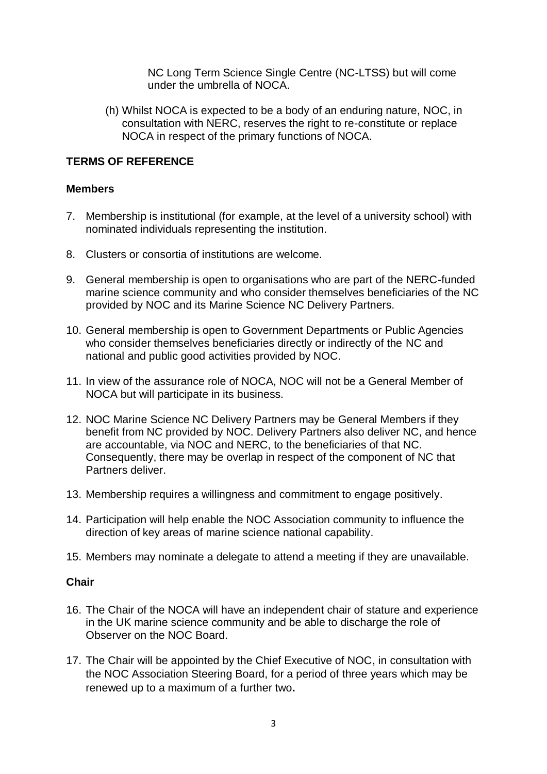NC Long Term Science Single Centre (NC-LTSS) but will come under the umbrella of NOCA.

(h) Whilst NOCA is expected to be a body of an enduring nature, NOC, in consultation with NERC, reserves the right to re-constitute or replace NOCA in respect of the primary functions of NOCA.

#### **TERMS OF REFERENCE**

#### **Members**

- 7. Membership is institutional (for example, at the level of a university school) with nominated individuals representing the institution.
- 8. Clusters or consortia of institutions are welcome.
- 9. General membership is open to organisations who are part of the NERC-funded marine science community and who consider themselves beneficiaries of the NC provided by NOC and its Marine Science NC Delivery Partners.
- 10. General membership is open to Government Departments or Public Agencies who consider themselves beneficiaries directly or indirectly of the NC and national and public good activities provided by NOC.
- 11. In view of the assurance role of NOCA, NOC will not be a General Member of NOCA but will participate in its business.
- 12. NOC Marine Science NC Delivery Partners may be General Members if they benefit from NC provided by NOC. Delivery Partners also deliver NC, and hence are accountable, via NOC and NERC, to the beneficiaries of that NC. Consequently, there may be overlap in respect of the component of NC that Partners deliver.
- 13. Membership requires a willingness and commitment to engage positively.
- 14. Participation will help enable the NOC Association community to influence the direction of key areas of marine science national capability.
- 15. Members may nominate a delegate to attend a meeting if they are unavailable.

#### **Chair**

- 16. The Chair of the NOCA will have an independent chair of stature and experience in the UK marine science community and be able to discharge the role of Observer on the NOC Board.
- 17. The Chair will be appointed by the Chief Executive of NOC, in consultation with the NOC Association Steering Board, for a period of three years which may be renewed up to a maximum of a further two**.**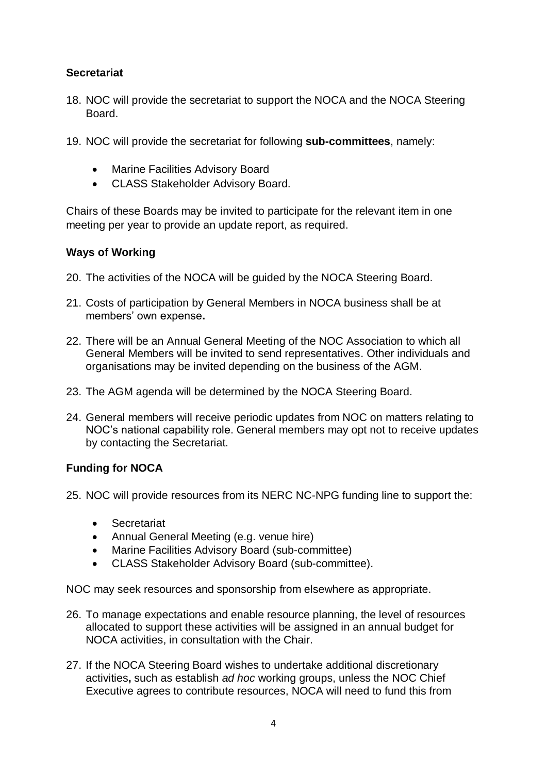# **Secretariat**

- 18. NOC will provide the secretariat to support the NOCA and the NOCA Steering Board.
- 19. NOC will provide the secretariat for following **sub-committees**, namely:
	- Marine Facilities Advisory Board
	- CLASS Stakeholder Advisory Board.

Chairs of these Boards may be invited to participate for the relevant item in one meeting per year to provide an update report, as required.

### **Ways of Working**

- 20. The activities of the NOCA will be guided by the NOCA Steering Board.
- 21. Costs of participation by General Members in NOCA business shall be at members' own expense**.**
- 22. There will be an Annual General Meeting of the NOC Association to which all General Members will be invited to send representatives. Other individuals and organisations may be invited depending on the business of the AGM.
- 23. The AGM agenda will be determined by the NOCA Steering Board.
- 24. General members will receive periodic updates from NOC on matters relating to NOC's national capability role. General members may opt not to receive updates by contacting the Secretariat.

# **Funding for NOCA**

25. NOC will provide resources from its NERC NC-NPG funding line to support the:

- Secretariat
- Annual General Meeting (e.g. venue hire)
- Marine Facilities Advisory Board (sub-committee)
- CLASS Stakeholder Advisory Board (sub-committee).

NOC may seek resources and sponsorship from elsewhere as appropriate.

- 26. To manage expectations and enable resource planning, the level of resources allocated to support these activities will be assigned in an annual budget for NOCA activities, in consultation with the Chair.
- 27. If the NOCA Steering Board wishes to undertake additional discretionary activities**,** such as establish *ad hoc* working groups, unless the NOC Chief Executive agrees to contribute resources, NOCA will need to fund this from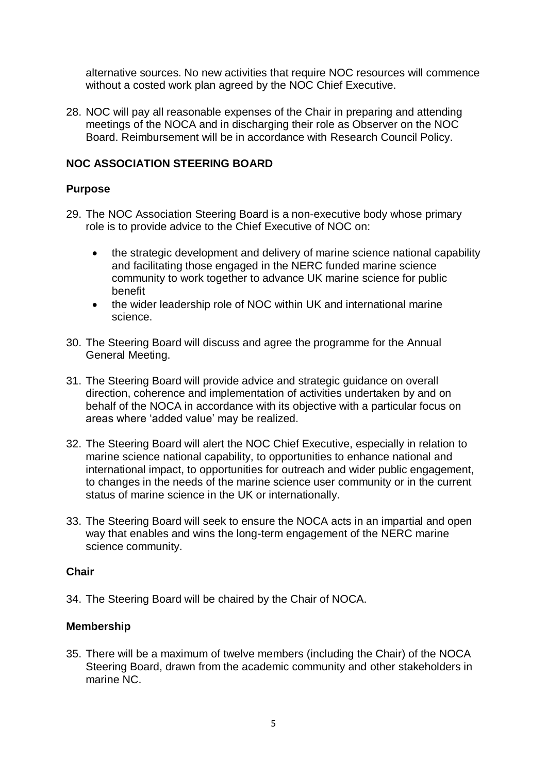alternative sources. No new activities that require NOC resources will commence without a costed work plan agreed by the NOC Chief Executive.

28. NOC will pay all reasonable expenses of the Chair in preparing and attending meetings of the NOCA and in discharging their role as Observer on the NOC Board. Reimbursement will be in accordance with Research Council Policy.

#### **NOC ASSOCIATION STEERING BOARD**

#### **Purpose**

- 29. The NOC Association Steering Board is a non-executive body whose primary role is to provide advice to the Chief Executive of NOC on:
	- the strategic development and delivery of marine science national capability and facilitating those engaged in the NERC funded marine science community to work together to advance UK marine science for public benefit
	- the wider leadership role of NOC within UK and international marine science.
- 30. The Steering Board will discuss and agree the programme for the Annual General Meeting.
- 31. The Steering Board will provide advice and strategic guidance on overall direction, coherence and implementation of activities undertaken by and on behalf of the NOCA in accordance with its objective with a particular focus on areas where 'added value' may be realized.
- 32. The Steering Board will alert the NOC Chief Executive, especially in relation to marine science national capability, to opportunities to enhance national and international impact, to opportunities for outreach and wider public engagement, to changes in the needs of the marine science user community or in the current status of marine science in the UK or internationally.
- 33. The Steering Board will seek to ensure the NOCA acts in an impartial and open way that enables and wins the long-term engagement of the NERC marine science community.

#### **Chair**

34. The Steering Board will be chaired by the Chair of NOCA.

#### **Membership**

35. There will be a maximum of twelve members (including the Chair) of the NOCA Steering Board, drawn from the academic community and other stakeholders in marine NC.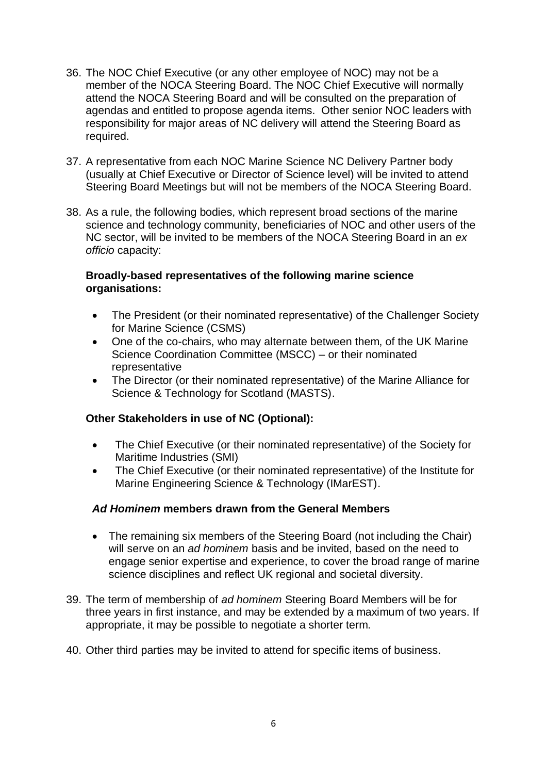- 36. The NOC Chief Executive (or any other employee of NOC) may not be a member of the NOCA Steering Board. The NOC Chief Executive will normally attend the NOCA Steering Board and will be consulted on the preparation of agendas and entitled to propose agenda items. Other senior NOC leaders with responsibility for major areas of NC delivery will attend the Steering Board as required.
- 37. A representative from each NOC Marine Science NC Delivery Partner body (usually at Chief Executive or Director of Science level) will be invited to attend Steering Board Meetings but will not be members of the NOCA Steering Board.
- 38. As a rule, the following bodies, which represent broad sections of the marine science and technology community, beneficiaries of NOC and other users of the NC sector, will be invited to be members of the NOCA Steering Board in an *ex officio* capacity:

#### **Broadly-based representatives of the following marine science organisations:**

- The President (or their nominated representative) of the Challenger Society for Marine Science (CSMS)
- One of the co-chairs, who may alternate between them, of the UK Marine Science Coordination Committee (MSCC) – or their nominated representative
- The Director (or their nominated representative) of the Marine Alliance for Science & Technology for Scotland (MASTS).

# **Other Stakeholders in use of NC (Optional):**

- The Chief Executive (or their nominated representative) of the Society for Maritime Industries (SMI)
- The Chief Executive (or their nominated representative) of the Institute for Marine Engineering Science & Technology (IMarEST).

# *Ad Hominem* **members drawn from the General Members**

- The remaining six members of the Steering Board (not including the Chair) will serve on an *ad hominem* basis and be invited, based on the need to engage senior expertise and experience, to cover the broad range of marine science disciplines and reflect UK regional and societal diversity.
- 39. The term of membership of *ad hominem* Steering Board Members will be for three years in first instance, and may be extended by a maximum of two years. If appropriate, it may be possible to negotiate a shorter term.
- 40. Other third parties may be invited to attend for specific items of business.